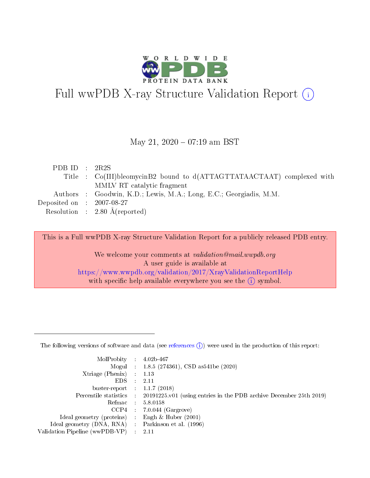

# Full wwPDB X-ray Structure Validation Report (i)

#### May 21,  $2020 - 07:19$  am BST

| PDB ID : $2R2S$                      |                                                                        |
|--------------------------------------|------------------------------------------------------------------------|
|                                      | Title : Co(III)bleomycinB2 bound to d(ATTAGTTATAACTAAT) complexed with |
|                                      | MMLV RT catalytic fragment                                             |
|                                      | Authors : Goodwin, K.D.; Lewis, M.A.; Long, E.C.; Georgiadis, M.M.     |
| Deposited on $\therefore$ 2007-08-27 |                                                                        |
|                                      | Resolution : $2.80 \text{ Å}$ (reported)                               |
|                                      |                                                                        |

This is a Full wwPDB X-ray Structure Validation Report for a publicly released PDB entry.

We welcome your comments at validation@mail.wwpdb.org A user guide is available at <https://www.wwpdb.org/validation/2017/XrayValidationReportHelp> with specific help available everywhere you see the  $(i)$  symbol.

The following versions of software and data (see [references](https://www.wwpdb.org/validation/2017/XrayValidationReportHelp#references)  $(1)$ ) were used in the production of this report:

| $MolProbability$ 4.02b-467     |                          |                                                                                            |
|--------------------------------|--------------------------|--------------------------------------------------------------------------------------------|
|                                |                          | Mogul : 1.8.5 (274361), CSD as 541be (2020)                                                |
| $X$ triage (Phenix) :          |                          | 1.13                                                                                       |
| EDS.                           | ÷                        | 2.11                                                                                       |
| buster-report : $1.1.7(2018)$  |                          |                                                                                            |
|                                |                          | Percentile statistics : 20191225.v01 (using entries in the PDB archive December 25th 2019) |
| Refmac                         |                          | 5.8.0158                                                                                   |
| CCP4                           |                          | $7.0.044$ (Gargrove)                                                                       |
| Ideal geometry (proteins)      |                          | Engh $\&$ Huber (2001)                                                                     |
| Ideal geometry (DNA, RNA) :    |                          | Parkinson et al. (1996)                                                                    |
| Validation Pipeline (wwPDB-VP) | $\mathcal{L}_{\rm{max}}$ | -2.11                                                                                      |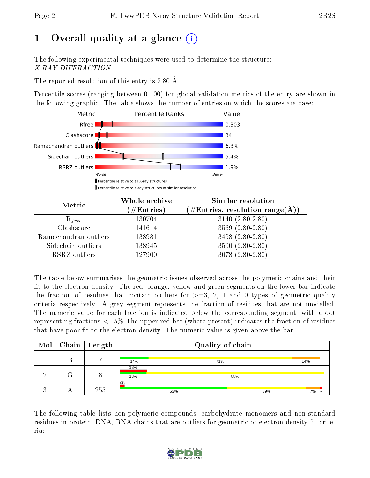# 1 [O](https://www.wwpdb.org/validation/2017/XrayValidationReportHelp#overall_quality)verall quality at a glance  $(i)$

The following experimental techniques were used to determine the structure: X-RAY DIFFRACTION

The reported resolution of this entry is 2.80 Å.

Percentile scores (ranging between 0-100) for global validation metrics of the entry are shown in the following graphic. The table shows the number of entries on which the scores are based.



| Metric                | Whole archive<br>$(\#\mathrm{Entries})$ | Similar resolution<br>$(\#\text{Entries},\, \text{resolution}\; \text{range}(\textup{\AA}))$ |
|-----------------------|-----------------------------------------|----------------------------------------------------------------------------------------------|
| $R_{free}$            | 130704                                  | $3140 (2.80 - 2.80)$                                                                         |
| Clashscore            | 141614                                  | $3569(2.80-2.80)$                                                                            |
| Ramachandran outliers | 138981                                  | 3498 (2.80-2.80)                                                                             |
| Sidechain outliers    | 138945                                  | $3500(2.80-2.80)$                                                                            |
| RSRZ outliers         | 127900                                  | $3078(2.80-2.80)$                                                                            |

The table below summarises the geometric issues observed across the polymeric chains and their fit to the electron density. The red, orange, yellow and green segments on the lower bar indicate the fraction of residues that contain outliers for  $>=3, 2, 1$  and 0 types of geometric quality criteria respectively. A grey segment represents the fraction of residues that are not modelled. The numeric value for each fraction is indicated below the corresponding segment, with a dot representing fractions  $\epsilon=5\%$  The upper red bar (where present) indicates the fraction of residues that have poor fit to the electron density. The numeric value is given above the bar.

|  | $Mol$   Chain   Length |            | Quality of chain |     |
|--|------------------------|------------|------------------|-----|
|  | $\overline{ }$         | 14%        | 71%              | 14% |
|  |                        | 13%<br>13% | 88%              |     |
|  | 255                    | 2%         | 53%<br>39%       | 7%  |

The following table lists non-polymeric compounds, carbohydrate monomers and non-standard residues in protein, DNA, RNA chains that are outliers for geometric or electron-density-fit criteria:

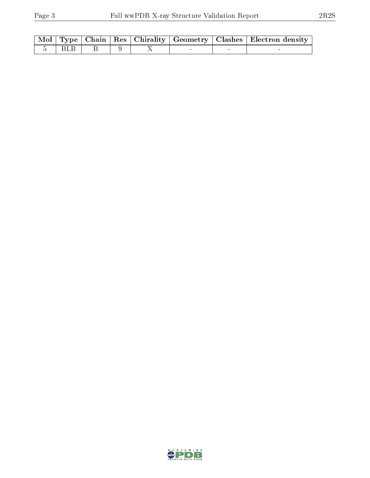|         |  |  | Mol   Type   Chain   Res   Chirality   Geometry   Clashes   Electron density |
|---------|--|--|------------------------------------------------------------------------------|
| 5   BLB |  |  |                                                                              |

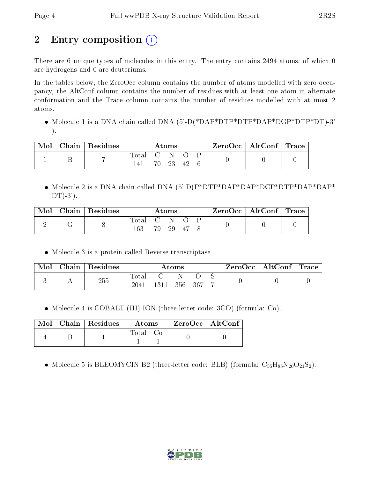# 2 Entry composition (i)

There are 6 unique types of molecules in this entry. The entry contains 2494 atoms, of which 0 are hydrogens and 0 are deuteriums.

In the tables below, the ZeroOcc column contains the number of atoms modelled with zero occupancy, the AltConf column contains the number of residues with at least one atom in alternate conformation and the Trace column contains the number of residues modelled with at most 2 atoms.

• Molecule 1 is a DNA chain called DNA (5'-D(\*DAP\*DTP\*DTP\*DAP\*DGP\*DTP\*DT)-3' ).

| Mol | $\vert$ Chain   Residues $\vert$ | $\rm{Atoms}$ |  |       | $\vert$ ZeroOcc $\vert$ AltConf $\vert$ Trace |  |  |  |
|-----|----------------------------------|--------------|--|-------|-----------------------------------------------|--|--|--|
|     |                                  | Total C N O  |  | 70 23 | 42                                            |  |  |  |

• Molecule 2 is a DNA chain called DNA (5'-D(P\*DTP\*DAP\*DAP\*DCP\*DTP\*DAP\*DAP\*  $DT(-3')$ .

| Mol | $\,$ Chain   Residues $\,$ | Atoms        |  |       | $\text{ZeroOcc} \mid \text{AltConf} \mid \text{Trace}$ |  |  |  |
|-----|----------------------------|--------------|--|-------|--------------------------------------------------------|--|--|--|
|     |                            | Total<br>163 |  | 79 29 | - 47                                                   |  |  |  |

Molecule 3 is a protein called Reverse transcriptase.

| Mol | Chain | $\,^{\dagger}$ Residues | $\rm{Atoms}$           |      |     | $\text{ZeroOcc} \mid \text{AltConf} \mid \text{Trace}$ |  |  |  |
|-----|-------|-------------------------|------------------------|------|-----|--------------------------------------------------------|--|--|--|
|     |       | 255                     | $_{\rm Total}$<br>2041 | 1311 | 356 | - 367                                                  |  |  |  |

• Molecule 4 is COBALT (III) ION (three-letter code: 3CO) (formula: Co).

|  | $\text{Mol}$   Chain   Residues | Atoms    | $\vert$ ZeroOcc $\vert$ AltConf |  |
|--|---------------------------------|----------|---------------------------------|--|
|  |                                 | Total Co |                                 |  |

• Molecule 5 is BLEOMYCIN B2 (three-letter code: BLB) (formula:  $C_{55}H_{85}N_{20}O_{21}S_2$ ).

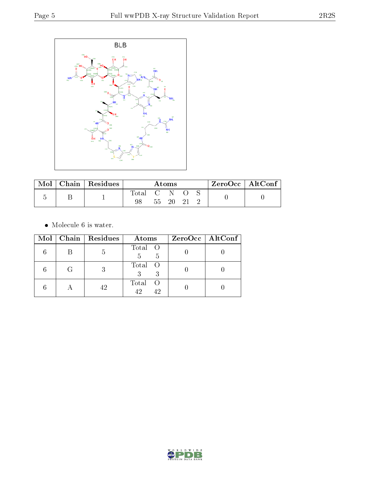

| Mol |  | Chain   Residues | Atoms       |                              |     |  | $ZeroOcc \mid AltConf \mid$ |  |  |
|-----|--|------------------|-------------|------------------------------|-----|--|-----------------------------|--|--|
|     |  |                  | $\rm Total$ | $\sim$ 6.1 $\sim$ 5.1 $\sim$ | -N- |  |                             |  |  |
|     |  |                  | - 55 -      | -20-                         |     |  |                             |  |  |

 $\bullet\,$  Molecule 6 is water.

|   | Mol   Chain   Residues | Atoms                      | $ZeroOcc \   \ AltConf \  $ |
|---|------------------------|----------------------------|-----------------------------|
|   | .b                     | Total O<br>5<br>5          |                             |
| G |                        | Total O                    |                             |
|   | 42                     | Total<br>- ( )<br>42<br>42 |                             |

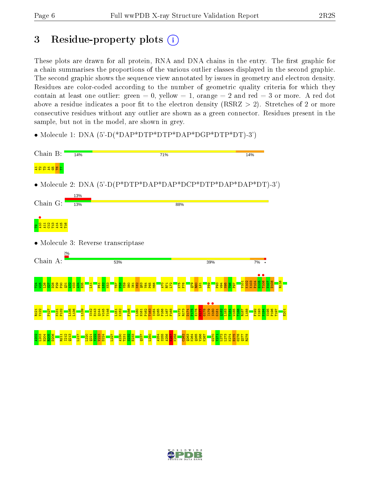## 3 Residue-property plots  $(i)$

These plots are drawn for all protein, RNA and DNA chains in the entry. The first graphic for a chain summarises the proportions of the various outlier classes displayed in the second graphic. The second graphic shows the sequence view annotated by issues in geometry and electron density. Residues are color-coded according to the number of geometric quality criteria for which they contain at least one outlier: green  $= 0$ , yellow  $= 1$ , orange  $= 2$  and red  $= 3$  or more. A red dot above a residue indicates a poor fit to the electron density (RSRZ  $> 2$ ). Stretches of 2 or more consecutive residues without any outlier are shown as a green connector. Residues present in the sample, but not in the model, are shown in grey.

• Molecule 1: DNA (5'-D(\*DAP\*DTP\*DTP\*DAP\*DGP\*DTP\*DT)-3')



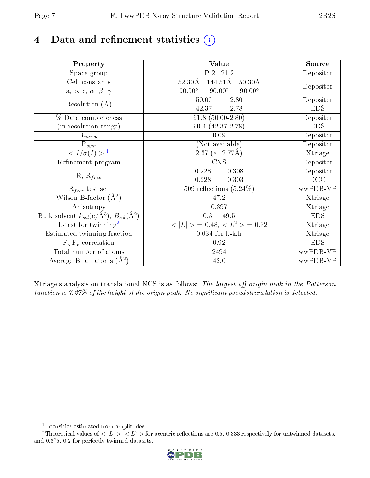# 4 Data and refinement statistics  $(i)$

| Property                                                             | Value                                             | Source     |
|----------------------------------------------------------------------|---------------------------------------------------|------------|
| Space group                                                          | P 21 21 2                                         | Depositor  |
| Cell constants                                                       | 144.51Å<br>$50.30\text{\AA}$<br>$52.30\text{\AA}$ | Depositor  |
| a, b, c, $\alpha$ , $\beta$ , $\gamma$                               | $90.00^\circ$<br>$90.00^\circ$<br>$90.00^\circ$   |            |
| Resolution $(A)$                                                     | 50.00<br>$-2.80$                                  | Depositor  |
|                                                                      | 42.37<br>$-2.78$                                  | <b>EDS</b> |
| % Data completeness                                                  | $91.8(50.00-2.80)$                                | Depositor  |
| (in resolution range)                                                | $90.4(42.37-2.78)$                                | <b>EDS</b> |
| $R_{merge}$                                                          | 0.09                                              | Depositor  |
| $\mathrm{R}_{sym}$                                                   | (Not available)                                   | Depositor  |
| $\langle I/\sigma(I) \rangle$ <sup>1</sup>                           | $2.37$ (at $2.77\text{\AA}$ )                     | Xtriage    |
| Refinement program                                                   | $\overline{\text{CNS}}$                           | Depositor  |
| $R, R_{free}$                                                        | 0.228<br>0.308<br>$\overline{a}$                  | Depositor  |
|                                                                      | 0.228<br>0.303<br>$\ddot{\phantom{a}}$            | DCC        |
| $\mathcal{R}_{free}$ test set                                        | 509 reflections $(5.24\%)$                        | wwPDB-VP   |
| Wilson B-factor $(A^2)$                                              | 47.2                                              | Xtriage    |
| Anisotropy                                                           | 0.397                                             | Xtriage    |
| Bulk solvent $k_{sol}(e/\mathring{A}^3)$ , $B_{sol}(\mathring{A}^2)$ | $0.31$ , 49.5                                     | <b>EDS</b> |
| L-test for twinning <sup>2</sup>                                     | $< L >$ = 0.48, $< L2$ = 0.32                     | Xtriage    |
| Estimated twinning fraction                                          | $0.034$ for $1, -k, h$                            | Xtriage    |
| $F_o, F_c$ correlation                                               | 0.92                                              | <b>EDS</b> |
| Total number of atoms                                                | 2494                                              | wwPDB-VP   |
| Average B, all atoms $(A^2)$                                         | 42.0                                              | wwPDB-VP   |

Xtriage's analysis on translational NCS is as follows: The largest off-origin peak in the Patterson function is  $7.27\%$  of the height of the origin peak. No significant pseudotranslation is detected.

<sup>&</sup>lt;sup>2</sup>Theoretical values of  $\langle |L| \rangle$ ,  $\langle L^2 \rangle$  for acentric reflections are 0.5, 0.333 respectively for untwinned datasets, and 0.375, 0.2 for perfectly twinned datasets.



<span id="page-6-1"></span><span id="page-6-0"></span><sup>1</sup> Intensities estimated from amplitudes.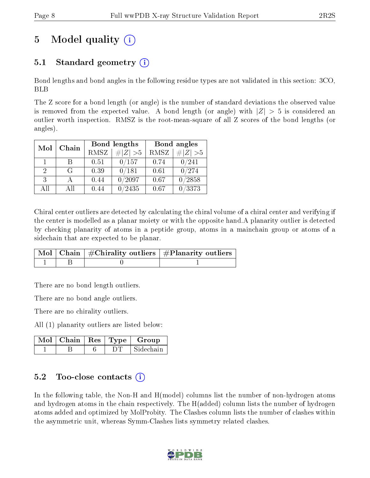# 5 Model quality  $(i)$

### 5.1 Standard geometry (i)

Bond lengths and bond angles in the following residue types are not validated in this section: 3CO, BLB

The Z score for a bond length (or angle) is the number of standard deviations the observed value is removed from the expected value. A bond length (or angle) with  $|Z| > 5$  is considered an outlier worth inspection. RMSZ is the root-mean-square of all Z scores of the bond lengths (or angles).

| Chain<br>Mol                |    | Bond lengths |             | Bond angles |                     |
|-----------------------------|----|--------------|-------------|-------------|---------------------|
|                             |    | RMSZ         | $\# Z  > 5$ | <b>RMSZ</b> | $\Vert Z \Vert > 5$ |
| 1                           | R  | 0.51         | 0/157       | 0.74        | 0/241               |
| $\mathcal{D}_{\mathcal{L}}$ | G  | 0.39         | 0/181       | 0.61        | 0/274               |
| 3                           |    | 0.44         | 0/2097      | 0.67        | 0/2858              |
| ΑĦ                          | ΑĦ | 0.44         | '2435       | 0.67        | /3373               |

Chiral center outliers are detected by calculating the chiral volume of a chiral center and verifying if the center is modelled as a planar moiety or with the opposite hand.A planarity outlier is detected by checking planarity of atoms in a peptide group, atoms in a mainchain group or atoms of a sidechain that are expected to be planar.

|  | $\overline{\mid}$ Mol $\mid$ Chain $\mid$ #Chirality outliers $\mid$ #Planarity outliers $\mid$ |
|--|-------------------------------------------------------------------------------------------------|
|  |                                                                                                 |

There are no bond length outliers.

There are no bond angle outliers.

There are no chirality outliers.

All (1) planarity outliers are listed below:

|  |  | $Mol$   Chain   Res   Type   Group |
|--|--|------------------------------------|
|  |  | Sidechain                          |

#### 5.2 Too-close contacts (i)

In the following table, the Non-H and H(model) columns list the number of non-hydrogen atoms and hydrogen atoms in the chain respectively. The H(added) column lists the number of hydrogen atoms added and optimized by MolProbity. The Clashes column lists the number of clashes within the asymmetric unit, whereas Symm-Clashes lists symmetry related clashes.

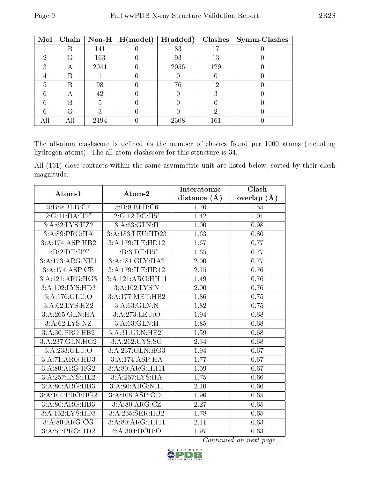| Mol | Chain        |      | $\mathbb{N}$ on-H   H(model) | H(added) | Clashes | $\vert$ Symm-Clashes |
|-----|--------------|------|------------------------------|----------|---------|----------------------|
|     |              | 141  |                              | 83       | 17      |                      |
| ച   | $\mathbf{L}$ | 163  |                              | 93       | 13      |                      |
| ച   |              | 2041 |                              | 2056     | 129     |                      |
|     | R            |      |                              |          |         |                      |
| 5   | В            | 98   |                              | 76       | 12      |                      |
|     |              | 42   |                              |          |         |                      |
| հ   | R            |      |                              |          |         |                      |
|     | G            |      |                              |          | 6)      |                      |
|     | A II         | 2494 |                              | 2308     | 161     |                      |

The all-atom clashscore is defined as the number of clashes found per 1000 atoms (including hydrogen atoms). The all-atom clashscore for this structure is 34.

All (161) close contacts within the same asymmetric unit are listed below, sorted by their clash magnitude.

| Atom-1                      | Atom-2           | Interatomic       | Clash         |
|-----------------------------|------------------|-------------------|---------------|
|                             |                  | distance $(\AA)$  | overlap $(A)$ |
| 5:B:9:BLB:C7                | 5:B:9:BLB:C6     | 1.76              | 1.55          |
| 2:G:11:DA:H2"               | 2:G:12:DC:H5'    | 1.42              | 1.01          |
| 3:A:62:LYS:HZ2              | 3:A:63:GLN:H     | 1.00              | 0.98          |
| 3:A:89:PRO:HA               | 3:A:183:LEU:HD23 | 1.63              | 0.80          |
| 3:A:174:ASP:HB2             | 3:A:179:ILE:HD12 | 1.67              | 0.77          |
| 1:B:2:DT:H2"                | 1: B:3:DT:H5     | 1.65              | 0.77          |
| 3:A:173:ARG:NH1             | 3:A:181:GLY:HA2  | 2.00              | 0.77          |
| 3:A:174:ASP:CB              | 3:A:179:ILE:HD12 | 2.15              | 0.76          |
| 3:A:121:ARG:HG3             | 3:A:121:ARG:HH11 | 1.49              | 0.76          |
| 3:A:102:LYS:HD3             | 3:A:102:LYS:N    | 2.00              | 0.76          |
| 3:A:176:GLU:O               | 3:A:177:MET:HB2  | 1.86              | $0.75\,$      |
| 3:A:62:LYS:HZ2              | 3:A:63:GLN:N     | 1.82              | 0.75          |
| 3:A:265:GLN:HA              | 3:A:273:LEU:O    | 1.94              | 0.68          |
| 3:A:62:LYS:NZ               | 3:A:63:GLN:H     | 1.85              | 0.68          |
| 3:A:30:PRO:HB2              | 3:A:31:GLN:HE21  | 1.59              | 0.68          |
| 3:A:237:GLN:HG2             | 3:A:262:CYS:SG   | 2.34              | 0.68          |
| 3:A:233:GLU:O               | 3:A:237:GLN:HG3  | 1.94              | 0.67          |
| 3:A:71:ARG:HD3              | 3:A:174:ASP:HA   | 1.77              | $0.67\,$      |
| 3:A:80:ARG:HG2              | 3:A:80:ARG:HH11  | 1.59              | 0.67          |
| 3:A:257:LYS:HE2             | 3:A:257:LYS:HA   | 1.75              | 0.66          |
| 3:A:80:ARG:HB3              | 3:A:80:ARG:NH1   | $\overline{2.10}$ | 0.66          |
| 3:A:104:PRO:HG2             | 3:A:108:ASP:OD1  | 1.96              | 0.65          |
| 3:A:80:ARG:HB3              | 3:A:80:ARG:CZ    | 2.27              | 0.65          |
| 3:A:152:LYS:HD3             | 3:A:255:SER:HB2  | $1.78\,$          | 0.65          |
| 3: A:80: ARG: CG            | 3:A:80:ARG:HH11  | 2.11              | 0.63          |
| $3:A:51:P\overline{RO:HD2}$ | 6:A:304:HOH:O    | 1.97              | 0.63          |

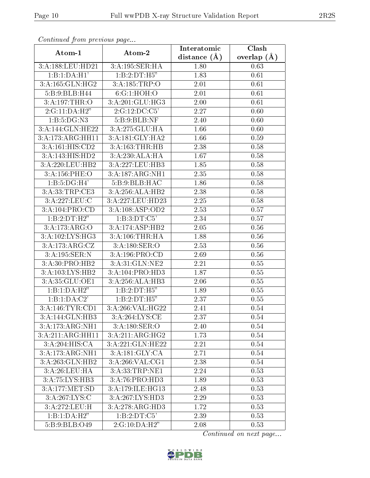| Continuati prom provious pago      |                                   | Interatomic    | Clash         |  |
|------------------------------------|-----------------------------------|----------------|---------------|--|
| Atom-1                             | Atom-2                            | distance $(A)$ | overlap $(A)$ |  |
| 3:A:188:LEU:HD21                   | 3:A:195:SER:HA                    | 1.80           | 0.63          |  |
| 1:B:1:DA:H1'                       | 1:B:2:DT:H5"                      | 1.83           | 0.61          |  |
| 3:A:165:GLN:HG2                    | 3:A:185:TRP:O                     | 2.01           | 0.61          |  |
| 5:B:9:BLB:H44                      | 6:G:1:HOH:O                       | 2.01           | 0.61          |  |
| 3:A:197:THR:O                      | 3:A:201:GLU:HG3                   | 2.00           | 0.61          |  |
| 2:G:11:DA:H2"                      | 2:G:12:DC:C5'                     | 2.27           | 0.60          |  |
| 1:B:5:DG:N3                        | 5:B:9:BLB:NF                      | 2.40           | 0.60          |  |
| 3:A:144:GLN:HE22                   | 3:A:275:GLU:HA                    | 1.66           | 0.60          |  |
| $3:A:\overline{173:ARG:HH11}$      | 3:A:181:GLY:HA2                   | 1.66           | 0.59          |  |
| 3:A:161:HIS:CD2                    | 3:A:163:THR:HB                    | 2.38           | 0.58          |  |
| 3:A:143:HIS:HD2                    | 3:A:230:ALA:HA                    | 1.67           | 0.58          |  |
| 3:A:220:LEU:HB2                    | 3:A:227:LEU:HB3                   | 1.85           | 0.58          |  |
| 3:A:156:PHE:O                      | 3:A:187:ARG:NH1                   | 2.35           | 0.58          |  |
| 1:B:5:DG:H4'                       | 5: B: 9: BLB: HAC                 | 1.86           | 0.58          |  |
| 3:A:33:TRP:CE3                     | 3:A:256:ALA:HB2                   | 2.38           | 0.58          |  |
| 3:A:227:LEU:C                      | 3:A:227:LEU:HD23                  | 2.25           | 0.58          |  |
| $3:A:104:\overline{\text{PRO:CD}}$ | 3:A:108:ASP:OD2                   | 2.53           | 0.57          |  |
| 1:B:2:DT:H2"                       | 1:B:3:DT:C5'                      | 2.34           | 0.57          |  |
| 3:A:173:ARG:O                      | 3:A:174:ASP:HB2                   | 2.05           | 0.56          |  |
| 3:A:102:LYS:HG3                    | 3:A:106:THR:HA                    | 1.88           | 0.56          |  |
| 3:A:173:ARG:CZ                     | 3:A:180:SER:O                     | 2.53           | 0.56          |  |
| 3:A:195:SER:N                      | 3:A:196:PRO:CD                    | 2.69           | 0.56          |  |
| 3:A:30:PRO:HB2                     | 3:A:31:GLN:NE2                    | 2.21           | 0.55          |  |
| 3:A:103:LYS:HB2                    | 3:A:104:PRO:HD3                   | 1.87           | 0.55          |  |
| 3:A:35:GLU:OE1                     | 3:A:256:ALA:HB3                   | 2.06           | 0.55          |  |
| 1:B:1:DA:H2"                       | 1:B:2:DT:H5"                      | 1.89           | 0.55          |  |
| 1:B:1:DA:C2'                       | 1:B:2:DT:H5"                      | 2.37           | 0.55          |  |
| 3:A:146:TYR:CD1                    | 3: A:266: VAL: HG22               | 2.41           | 0.54          |  |
| 3:A:144:GLN:HB3                    | 3:A:264:LYS:CE                    | 2.37           | 0.54          |  |
| 3:A:173:ARG:NH1                    | $3:A:180:\overline{\text{SER}:O}$ | 2.40           | 0.54          |  |
| 3:A:211:ARG:HH11                   | 3:A:211:ARG:HG2                   | 1.73           | 0.54          |  |
| 3:A:204:HIS:CA                     | 3:A:221:GLN:HE22                  | 2.21           | 0.54          |  |
| 3:A:173:ARG:NH1                    | 3:A:181:GLY:CA                    | 2.71           | 0.54          |  |
| 3:A:263:GLN:HB2                    | 3:A:266:VAL:CG1                   | 2.38           | 0.54          |  |
| 3:A:26:LEU:HA                      | 3:A:33:TRP:NE1                    | 2.24           | 0.53          |  |
| 3:A:75:LYS:HB3                     | $3:A:\overline{76:PRO:HD3}$       | 1.89           | 0.53          |  |
| 3:A:177:MET:SD                     | 3:A:179:ILE:H <sub>G13</sub>      | 2.48           | 0.53          |  |
| 3:A:267:LYS:C                      | 3:A:267:LYS:HD3                   | 2.29           | 0.53          |  |
| 3:A:272:LEU:H                      | 3:A:278:ARG:HD3                   | 1.72           | 0.53          |  |
| 1:B:1:DA:H2"                       | 1:B:2:DT:C5'                      | 2.39           | 0.53          |  |
| 5:B:9:BLB:O49                      | 2:G:10:DA:H2"                     | 2.08           | 0.53          |  |

Continued from previous page.

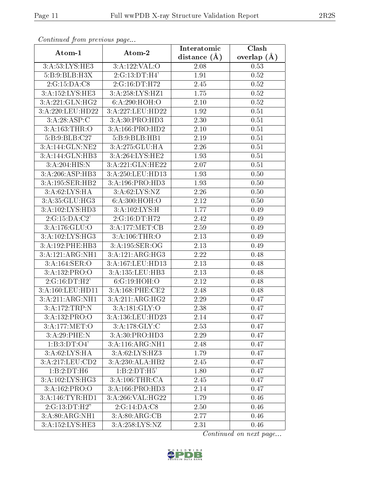| Continuea from previous page |                                   | Interatomic    | Clash         |  |
|------------------------------|-----------------------------------|----------------|---------------|--|
| Atom-2<br>Atom-1             |                                   | distance $(A)$ | overlap $(A)$ |  |
| 3:A:53:LYS:HE3               | 3:A:122:VAL:O                     | 2.08           | 0.53          |  |
| 5: B:9:BLB:H3X               | 2:G:13:DT:H4'                     | 1.91           | 0.52          |  |
| 2:G:15:DA:CS                 | 2:G:16:DT:H72                     | 2.45           | 0.52          |  |
| 3:A:152:LYS:HE3              | 3:A:258:LYS:HZ1                   | 1.75           | 0.52          |  |
| 3:A:221:GLN:HG2              | 6: A:290:HOH:O                    | $2.10\,$       | 0.52          |  |
| 3:A:220:LEU:HD22             | 3:A:227:LEU:HD22                  | 1.92           | 0.51          |  |
| 3:A:28:ASP:C                 | 3:A:30:PRO:HD3                    | 2.30           | 0.51          |  |
| 3:A:163:THR:O                | 3:A:166:PRO:HD2                   | 2.10           | 0.51          |  |
| 5:B:9:BLB:C27                | 5:B:9:BLB:HB1                     | 2.19           | 0.51          |  |
| 3:A:144:GLN:NE2              | 3:A:275:GLU:HA                    | 2.26           | 0.51          |  |
| 3:A:144:GLN:HB3              | 3:A:264:LYS:HE2                   | 1.93           | 0.51          |  |
| 3:A:204:HIS:N                | 3:A:221:GLN:HE22                  | 2.07           | 0.51          |  |
| 3:A:206:ASP:HB3              | 3:A:250:LEU:H <sub>D13</sub>      | 1.93           | 0.50          |  |
| 3:A:195:SER:HB2              | 3:A:196:PRO:HD3                   | 1.93           | 0.50          |  |
| 3:A:62:LYS:HA                | 3:A:62:LYS:NZ                     | 2.26           | 0.50          |  |
| 3:A:35:GLU:HG3               | 6: A:300:HOH:O                    | 2.12           | 0.50          |  |
| 3:A:102:LYS:HD3              | $3:A:102:\overline{\text{LYS:H}}$ | 1.77           | 0.49          |  |
| 2:G:15:DA:C2'                | 2:G:16:DT:H72                     | 2.42           | 0.49          |  |
| 3:A:176:GLU:O                | 3:A:177:MET:CB                    | 2.59           | 0.49          |  |
| 3:A:102:LYS:HG3              | 3:A:106:THR:O                     | 2.13           | 0.49          |  |
| 3:A:192:PHE:HB3              | 3:A:195:SER:OG                    | 2.13           | 0.49          |  |
| 3:A:121:ARG:NH1              | 3:A:121:ARG:HG3                   | 2.22           | 0.48          |  |
| 3:A:164:SER:O                | 3:A:167:LEU:HD13                  | 2.13           | 0.48          |  |
| 3:A:132:PRO:O                | 3:A:135:LEU:HB3                   | 2.13           | 0.48          |  |
| 2:G:16:DT:H2'                | 6:G:19:HOH:O                      | 2.12           | 0.48          |  |
| 3:A:160:LEU:HD11             | 3:A:168:PHE:CE2                   | 2.48           | 0.48          |  |
| 3:A:211:ARG:NH1              | 3:A:211:ARG:HG2                   | 2.29           | 0.47          |  |
| 3:A:172:TRP:N                | 3: A:181: GLY:O                   | 2.38           | 0.47          |  |
| 3:A:132:PRO:O                | 3:A:136:LEU:HD23                  | 2.14           | 0.47          |  |
| 3:A:177:MET:O                | 3:A:178:GLY:C                     | 2.53           | 0.47          |  |
| 3:A:29:PHE:N                 | 3:A:30:PRO:HD3                    | 2.29           | 0.47          |  |
| 1:B:3:DT:O4'                 | 3:A:116:ARG:NH1                   | 2.48           | 0.47          |  |
| $3:A:62:\text{LYS:HA}$       | $3:A:62:LY\overline{S:HZ3}$       | 1.79           | 0.47          |  |
| 3:A:217:LEU:CD2              | 3:A:230:ALA:HB2                   | 2.45           | 0.47          |  |
| 1:B:2:DT:H6                  | 1:B:2:DT:H5'                      | 1.80           | 0.47          |  |
| 3:A:102:LYS:HG3              | 3:A:106:THR:CA                    | 2.45           | 0.47          |  |
| 3:A:162:PRO:O                | 3:A:166:PRO:HD3                   | 2.14           | 0.47          |  |
| 3:A:146:TYR:HD1              | 3:A:266:VAL:HG22                  | 1.79           | 0.46          |  |
| 2:G:13:DT:H2"                | 2:G:14:DA:CS                      | 2.50           | 0.46          |  |
| 3:A:80:ARG:NH1               | 3:A:80:ARG:CB                     | 2.77           | 0.46          |  |
| 3:A:152:LYS:HE3              | 3:A:258:LYS:NZ                    | 2.31           | 0.46          |  |

Continued from previous page.

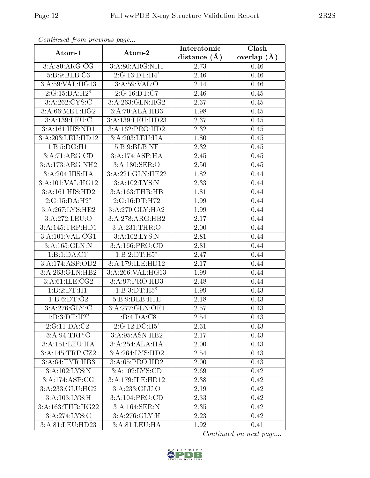| Continuati prom pretious page |                  | Interatomic | Clash         |
|-------------------------------|------------------|-------------|---------------|
| Atom-1                        | Atom-2           |             | overlap $(A)$ |
| 3:A:80:ARG:CG                 | 3:A:80:ARG:NH1   | 2.73        | 0.46          |
| 5:B:9:BLB:C3                  | 2:G:13:DT:H4'    | 2.46        | 0.46          |
| 3:A:59:VAL:HG13               | 3: A:59: VAL:O   | 2.14        | 0.46          |
| 2:G:15:DA:H2"                 | 2:G:16:DT:C7     | 2.46        | 0.45          |
| 3:A:262:CYS:C                 | 3:A:263:GLN:HG2  | 2.37        | 0.45          |
| 3:A:66:MET:HG2                | 3:A:70:ALA:HB3   | 1.98        | 0.45          |
| 3:A:139:LEU:C                 | 3:A:139:LEU:HD23 | 2.37        | 0.45          |
| 3:A:161:HIS:ND1               | 3:A:162:PRO:HD2  | 2.32        | 0.45          |
| 3:A:203:LEU:HD12              | 3:A:203:LEU:HA   | 1.80        | 0.45          |
| 1:B:5:DG:H1'                  | 5:B:9:BLB:NF     | 2.32        | 0.45          |
| 3:A:71:ARG:CD                 | 3:A:174:ASP:HA   | 2.45        | 0.45          |
| 3:A:173:ARG:NH2               | 3:A:180:SER:O    | 2.50        | 0.45          |
| 3:A:204:HIS:HA                | 3:A:221:GLN:HE22 | 1.82        | 0.44          |
| 3:A:101:VAL:HG12              | 3:A:102:LYS:N    | 2.33        | 0.44          |
| 3:A:161:HIS:HD2               | 3:A:163:THR:HB   | 1.81        | 0.44          |
| 2:G:15:DA:H2"                 | 2:G:16:DT:H72    | 1.99        | 0.44          |
| 3:A:267:LYS:HE2               | 3:A:270:GLY:HA2  | 1.99        | 0.44          |
| 3:A:272:LEU:O                 | 3:A:278:ARG:HB2  | 2.17        | 0.44          |
| 3:A:145:TRP:HD1               | 3:A:231:THR:O    | 2.00        | 0.44          |
| 3:A:101:VAL:CG1               | 3:A:102:LYS:N    | 2.81        | 0.44          |
| 3:A:165:GLN:N                 | 3:A:166:PRO:CD   | 2.81        | 0.44          |
| 1:B:1:DA:Cl'                  | 1:B:2:DT:H5"     | 2.47        | 0.44          |
| 3:A:174:ASP:OD2               | 3:A:179:ILE:HD12 | 2.17        | 0.44          |
| 3:A:263:GLN:HB2               | 3:A:266:VAL:HG13 | 1.99        | 0.44          |
| 3:A:61:ILE:CG2                | 3:A:97:PRO:HD3   | 2.48        | 0.44          |
| 1:B:2:DT:H1'                  | 1:B:3:DT:H5"     | 1.99        | 0.43          |
| 1:B:6:DT:O2                   | 5:B:9:BLB:H1E    | 2.18        | 0.43          |
| 3: A:276: GLY: C              | 3:A:277:GLN:OE1  | 2.57        | 0.43          |
| 1:B:3:DT:H2"                  | 1:B:4:DA:C8      | 2.54        | 0.43          |
| 2:G:11:DA:C2'                 | 2:G:12:DC:H5'    | 2.31        | 0.43          |
| 3: A:94:TRP:O                 | 3:A:95:ASN:HB2   | 2.17        | 0.43          |
| 3:A:151:LEU:HA                | 3:A:254:ALA:HA   | 2.00        | 0.43          |
| 3:A:145:TRP:CZ2               | 3:A:264:LYS:HD2  | 2.54        | 0.43          |
| 3:A:64:TYR:HB3                | 3:A:65:PRO:HD2   | 2.00        | 0.43          |
| 3:A:102:LYS:N                 | 3:A:102:LYS:CD   | 2.69        | 0.42          |
| 3:A:174:ASP:CG                | 3:A:179:ILE:HD12 | 2.38        | 0.42          |
| 3:A:233:GLU:HG2               | 3:A:233:GLU:O    | 2.19        | 0.42          |
| 3:A:103:LYS:H                 | 3:A:104:PRO:CD   | 2.33        | 0.42          |
| 3:A:163:THR:HG22              | 3:A:164:SER:N    | 2.35        | 0.42          |
| 3:A:274:LYS:C                 | 3:A:276:GLY:H    | 2.23        | 0.42          |
| 3:A:81:LEU:HD23               | 3:A:81:LEU:HA    | 1.92        | 0.41          |

Continued from previous page.

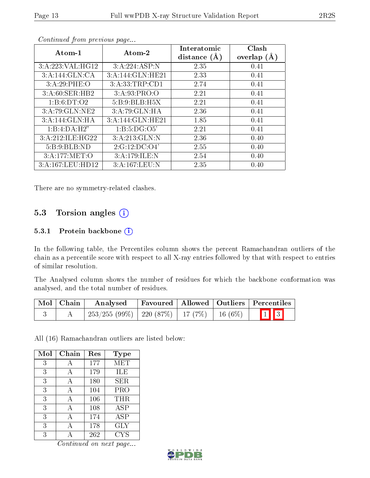| Atom-1           | Atom-2           | Interatomic<br>distance $(A)$ | Clash<br>overlap $(A)$ |
|------------------|------------------|-------------------------------|------------------------|
| 3:A:223:VAL:HG12 | 3:A:224:ASP:N    | 2.35                          | 0.41                   |
| 3:A:144:GLN:CA   | 3:A:144:GLN:HE21 | 2.33                          | 0.41                   |
| 3:A:29:PHE:O     | 3:A:33:TRP:CD1   | 2.74                          | 0.41                   |
| 3:A:60:SER:HB2   | 3: A:93: PRO:O   | 2.21                          | 0.41                   |
| 1: B:6: DT:O2    | 5:B:9:BLB:H5X    | 2.21                          | 0.41                   |
| 3:A:79:GLN:NE2   | 3:A:79:GLN:HA    | 2.36                          | 0.41                   |
| 3:A:144:GLN:HA   | 3:A:144:GLN:HE21 | 1.85                          | 0.41                   |
| 1:B:4:DA:H2"     | 1:B:5:DG:O5'     | 2.21                          | 0.41                   |
| 3:A:212:ILE:HG22 | 3:A:213:GLN:N    | 2.36                          | 0.40                   |
| 5: B: 9: BLB: ND | 2:G:12:DC:O4'    | 2.55                          | 0.40                   |
| 3:A:177:MET:O    | 3:A:179:ILE:N    | 2.54                          | 0.40                   |
| 3:A:167:LEU:HD12 | 3:A:167:LEU:N    | 2.35                          | 0.40                   |

Continued from previous page...

There are no symmetry-related clashes.

### 5.3 Torsion angles (i)

#### 5.3.1 Protein backbone (i)

In the following table, the Percentiles column shows the percent Ramachandran outliers of the chain as a percentile score with respect to all X-ray entries followed by that with respect to entries of similar resolution.

The Analysed column shows the number of residues for which the backbone conformation was analysed, and the total number of residues.

| Mol   Chain | Analysed                                            |  | Favoured   Allowed   Outliers   Percentiles |
|-------------|-----------------------------------------------------|--|---------------------------------------------|
|             | $253/255 (99\%)$   220 (87\%)   17 (7\%)   16 (6\%) |  | $\boxed{1}$ $\boxed{3}$                     |

All (16) Ramachandran outliers are listed below:

| Mol | Chain | Res | <b>Type</b> |
|-----|-------|-----|-------------|
| 3   |       | 177 | MET         |
| 3   | А     | 179 | ILE         |
| 3   | А     | 180 | SER.        |
| 3   |       | 104 | PRO         |
| 3   | А     | 106 | THR         |
| 3   | A     | 108 | <b>ASP</b>  |
| 3   | А     | 174 | ASP         |
| 3   |       | 178 | GLY         |
| 3   |       | 262 | CYS         |

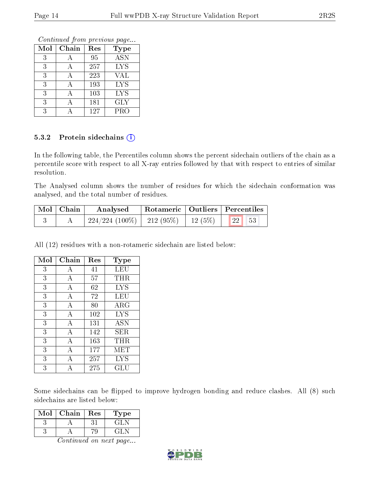Continued from previous page...

| Mol | Chain | Res | <b>Type</b> |
|-----|-------|-----|-------------|
| 3   |       | 95  | <b>ASN</b>  |
| 3   |       | 257 | <b>LYS</b>  |
| 3   | А     | 223 | VAL         |
| 3   |       | 193 | <b>LYS</b>  |
| 3   |       | 103 | <b>LYS</b>  |
| 3   |       | 181 | GLY         |
| 3   |       | 127 | PRO         |

#### 5.3.2 Protein sidechains (i)

In the following table, the Percentiles column shows the percent sidechain outliers of the chain as a percentile score with respect to all X-ray entries followed by that with respect to entries of similar resolution.

The Analysed column shows the number of residues for which the sidechain conformation was analysed, and the total number of residues.

| Mol   Chain | Analysed                       |        | Rotameric   Outliers   Percentiles |
|-------------|--------------------------------|--------|------------------------------------|
|             | $224/224$ (100\%)   212 (95\%) | 12(5%) | $\mid$ 22 $\mid$ 53                |

All (12) residues with a non-rotameric sidechain are listed below:

| Mol | Chain          | Res | Type       |
|-----|----------------|-----|------------|
| 3   | А              | 41  | LEU        |
| 3   | А              | 57  | THR        |
| 3   | А              | 62  | <b>LYS</b> |
| 3   | А              | 72  | LEU        |
| 3   | А              | 80  | $\rm{ARG}$ |
| 3   | $\overline{A}$ | 102 | <b>LYS</b> |
| 3   | А              | 131 | <b>ASN</b> |
| 3   | А              | 142 | SER.       |
| 3   | А              | 163 | $\rm THR$  |
| 3   | А              | 177 | MET        |
| 3   | А              | 257 | <b>LYS</b> |
| 3   |                | 275 | GLU        |

Some sidechains can be flipped to improve hydrogen bonding and reduce clashes. All (8) such sidechains are listed below:

| Mol | Chain | Res | ype |
|-----|-------|-----|-----|
|     |       |     |     |
|     |       |     |     |

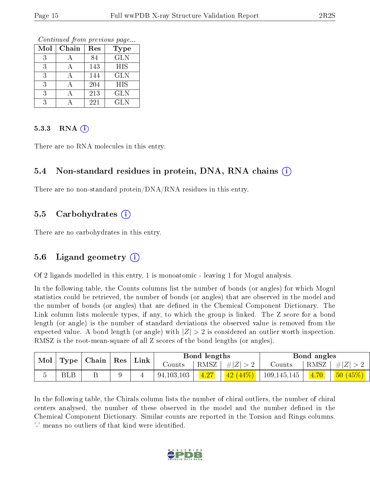Continued from previous page...

| Mol | Chain | Res | <b>Type</b> |
|-----|-------|-----|-------------|
| 3   |       | 84  | <b>GLN</b>  |
| 3   |       | 143 | HIS         |
| 3   |       | 144 | <b>GLN</b>  |
| 3   |       | 204 | <b>HIS</b>  |
| 3   |       | 213 | <b>GLN</b>  |
| २   |       | 221 | <b>GLN</b>  |

#### $5.3.3$  RNA  $(i)$

There are no RNA molecules in this entry.

#### 5.4 Non-standard residues in protein, DNA, RNA chains (i)

There are no non-standard protein/DNA/RNA residues in this entry.

#### 5.5 Carbohydrates  $(i)$

There are no carbohydrates in this entry.

#### 5.6 Ligand geometry (i)

Of 2 ligands modelled in this entry, 1 is monoatomic - leaving 1 for Mogul analysis.

In the following table, the Counts columns list the number of bonds (or angles) for which Mogul statistics could be retrieved, the number of bonds (or angles) that are observed in the model and the number of bonds (or angles) that are defined in the Chemical Component Dictionary. The Link column lists molecule types, if any, to which the group is linked. The Z score for a bond length (or angle) is the number of standard deviations the observed value is removed from the expected value. A bond length (or angle) with  $|Z| > 2$  is considered an outlier worth inspection. RMSZ is the root-mean-square of all Z scores of the bond lengths (or angles).

| Mol | Type       | $\mid$ Chain $\mid$ Res |  | Link |              | Bond lengths |           |             | Bond angles |         |
|-----|------------|-------------------------|--|------|--------------|--------------|-----------|-------------|-------------|---------|
|     |            |                         |  |      | Counts       | RMSZ         | $\# Z $   | Counts      | RMSZ        | $\# Z $ |
|     | <b>BLB</b> |                         |  |      | 94, 103, 103 | 4.27         | (42 (44%) | 109,145,145 | 4.70        | 50(45%) |

In the following table, the Chirals column lists the number of chiral outliers, the number of chiral centers analysed, the number of these observed in the model and the number defined in the Chemical Component Dictionary. Similar counts are reported in the Torsion and Rings columns. '-' means no outliers of that kind were identified.

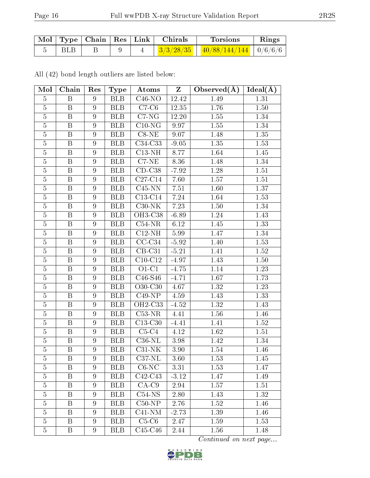|      |  | Mol   Type   Chain   Res   Link   Chirals | Torsions                                                                                                                     | Rings |
|------|--|-------------------------------------------|------------------------------------------------------------------------------------------------------------------------------|-------|
| RL R |  |                                           | $\left  \frac{3}{3}/\frac{3}{28}/35 \right $ $\left  \frac{40}{88}/144/144 \right $ $\left  \frac{0}{6}{\right/6}/6 \right $ |       |

All (42) bond length outliers are listed below:

| Mol            | Chain                   | Res              | Type             | Atoms     | $\mathbf{Z}$ | Observed $(A)$ | $Ideal(\AA)$ |
|----------------|-------------------------|------------------|------------------|-----------|--------------|----------------|--------------|
| $\overline{5}$ | B                       | 9                | BLB              | $C46-NO$  | 12.42        | 1.49           | 1.31         |
| $\overline{5}$ | B                       | 9                | <b>BLB</b>       | $C7-C6$   | 12.35        | 1.76           | 1.50         |
| $\overline{5}$ | $\boldsymbol{B}$        | 9                | <b>BLB</b>       | $C7$ -NG  | 12.20        | 1.55           | 1.34         |
| $\overline{5}$ | $\boldsymbol{B}$        | 9                | <b>BLB</b>       | $C10-NG$  | 9.97         | 1.55           | 1.34         |
| $\overline{5}$ | $\overline{\mathrm{B}}$ | $\boldsymbol{9}$ | <b>BLB</b>       | $C8-NE$   | 9.07         | 1.48           | 1.35         |
| $\overline{5}$ | $\boldsymbol{B}$        | $\boldsymbol{9}$ | <b>BLB</b>       | $C34-C33$ | $-9.05$      | 1.35           | 1.53         |
| $\overline{5}$ | $\overline{\mathrm{B}}$ | 9                | BLB              | $C13-NH$  | 8.77         | 1.64           | 1.45         |
| $\bf 5$        | $\boldsymbol{B}$        | $\overline{9}$   | <b>BLB</b>       | $C7-NE$   | 8.36         | 1.48           | 1.34         |
| $\overline{5}$ | $\overline{\mathrm{B}}$ | $\overline{9}$   | <b>BLB</b>       | $CD-C38$  | $-7.92$      | 1.28           | 1.51         |
| $\overline{5}$ | $\boldsymbol{B}$        | $\boldsymbol{9}$ | <b>BLB</b>       | $C27-C14$ | 7.60         | 1.57           | 1.51         |
| $\overline{5}$ | B                       | 9                | $\overline{B}LB$ | $C45-NN$  | $7.51\,$     | 1.60           | 1.37         |
| $\overline{5}$ | $\, {\bf B}$            | $\boldsymbol{9}$ | <b>BLB</b>       | $C13-C14$ | 7.24         | 1.64           | 1.53         |
| $\overline{5}$ | $\boldsymbol{B}$        | 9                | <b>BLB</b>       | $C30-NK$  | 7.23         | $1.50\,$       | 1.34         |
| $\overline{5}$ | $\, {\bf B}$            | $\boldsymbol{9}$ | <b>BLB</b>       | OH3-C38   | $-6.89$      | 1.24           | 1.43         |
| $\overline{5}$ | B                       | $\overline{9}$   | <b>BLB</b>       | $C54-NR$  | 6.12         | 1.45           | 1.33         |
| $\overline{5}$ | $\, {\bf B}$            | $\boldsymbol{9}$ | <b>BLB</b>       | $C12-NH$  | 5.99         | 1.47           | 1.34         |
| $\overline{5}$ | $\, {\bf B}$            | 9                | <b>BLB</b>       | $CC-C34$  | $-5.92$      | 1.40           | 1.53         |
| $\overline{5}$ | $\boldsymbol{B}$        | $\overline{9}$   | <b>BLB</b>       | $CB-C31$  | $-5.21$      | 1.41           | $1.52\,$     |
| $\overline{5}$ | B                       | 9                | <b>BLB</b>       | $C10-C12$ | $-4.97$      | 1.43           | $1.50\,$     |
| $\overline{5}$ | B                       | $\overline{9}$   | <b>BLB</b>       | $O1-C1$   | $-4.75$      | 1.14           | 1.23         |
| $\overline{5}$ | B                       | 9                | <b>BLB</b>       | C46-S46   | $-4.71$      | $1.67\,$       | 1.73         |
| $\overline{5}$ | $\overline{\mathbf{B}}$ | $\boldsymbol{9}$ | <b>BLB</b>       | $O30-C30$ | 4.67         | $1.32\,$       | 1.23         |
| $\overline{5}$ | $\boldsymbol{B}$        | $\overline{9}$   | <b>BLB</b>       | $C49-NP$  | 4.59         | 1.43           | 1.33         |
| $\overline{5}$ | $\overline{\mathrm{B}}$ | $\overline{9}$   | <b>BLB</b>       | $OH2-C33$ | $-4.52$      | 1.32           | 1.43         |
| $\bf 5$        | $\boldsymbol{B}$        | 9                | <b>BLB</b>       | $C53-NR$  | 4.41         | $1.56\,$       | 1.46         |
| $\overline{5}$ | $\overline{\mathrm{B}}$ | $\overline{9}$   | $\overline{BLB}$ | $C13-C30$ | $-4.41$      | 1.41           | 1.52         |
| $\overline{5}$ | $\boldsymbol{B}$        | 9                | <b>BLB</b>       | $C5-C4$   | 4.12         | 1.62           | 1.51         |
| $\overline{5}$ | $\overline{B}$          | $\overline{9}$   | <b>BLB</b>       | $C36-NL$  | 3.98         | 1.42           | 1.34         |
| $\overline{5}$ | $\boldsymbol{B}$        | $\boldsymbol{9}$ | <b>BLB</b>       | $C31-NK$  | 3.90         | 1.54           | 1.46         |
| 5              | B                       | 9                | <b>BLB</b>       | $C37-NL$  | 3.60         | 1.53           | 1.45         |
| $\overline{5}$ | B                       | 9                | <b>BLB</b>       | $C6$ -NC  | 3.31         | 1.53           | 1.47         |
| 5              | B                       | 9                | <b>BLB</b>       | $C42-C43$ | $-3.12$      | 1.47           | 1.49         |
| $\overline{5}$ | B                       | 9                | <b>BLB</b>       | $CA-C9$   | 2.94         | 1.57           | 1.51         |
| $\overline{5}$ | B                       | 9                | <b>BLB</b>       | $C54-NS$  | 2.80         | 1.43           | 1.32         |
| $\overline{5}$ | B                       | $\overline{9}$   | <b>BLB</b>       | $C50-NP$  | 2.76         | 1.52           | 1.46         |
| 5              | B                       | 9                | <b>BLB</b>       | $C41-NM$  | $-2.73$      | 1.39           | 1.46         |
| 5              | B                       | 9                | <b>BLB</b>       | $C5-C6$   | 2.47         | 1.59           | 1.53         |
| $\overline{5}$ | B                       | 9                | <b>BLB</b>       | $C45-C46$ | 2.44         | 1.56           | 1.48         |

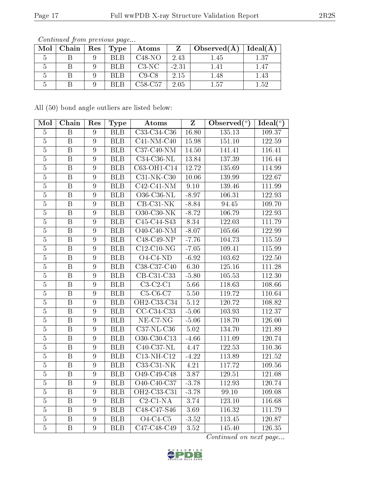| Mol | Chain   Res | $\vert$ Type $\vert$ | Atoms    | Z       | $\pm$ Observed(A) | Ideal(A) |
|-----|-------------|----------------------|----------|---------|-------------------|----------|
|     |             | <b>BLB</b>           | $C48-NO$ | 2.43    | 1.45              | 1.37     |
|     |             | <b>BLB</b>           | $C3-NC$  | $-2.31$ | 1.41              | 1.47     |
|     |             | <b>BLB</b>           | $C9-C8$  | 2.15    | 1.48              | 1.43     |
|     |             | RI R                 | C58-C57  | 2.05    | 1.57              | 152      |

Continued from previous page...

All (50) bond angle outliers are listed below:

| Mol            | Chain                   | Res              | <b>Type</b> | Atoms                          | $\overline{z}$    | Observed $\overline{(\begin{smallmatrix}o\\c\end{smallmatrix})}$ | $\text{Ideal}({}^o)$ |
|----------------|-------------------------|------------------|-------------|--------------------------------|-------------------|------------------------------------------------------------------|----------------------|
| $\overline{5}$ | $\, {\bf B}$            | $9\phantom{.}$   | <b>BLB</b>  | C33-C34-C36                    | 16.80             | 135.13                                                           | 109.37               |
| $\overline{5}$ | $\overline{\mathbf{B}}$ | $9\phantom{.}$   | <b>BLB</b>  | $C41-NM-C40$                   | 15.98             | 151.10                                                           | 122.59               |
| $\overline{5}$ | $\boldsymbol{B}$        | 9                | <b>BLB</b>  | C37-C40-NM                     | 14.50             | 141.41                                                           | 116.41               |
| $\overline{5}$ | $\, {\bf B}$            | 9                | <b>BLB</b>  | $C34-C36-NL$                   | 13.84             | 137.39                                                           | 116.44               |
| $\overline{5}$ | $\overline{B}$          | $\overline{9}$   | <b>BLB</b>  | C63-OH1-C14                    | 12.72             | 135.69                                                           | 114.99               |
| $\overline{5}$ | $\, {\bf B}$            | $\boldsymbol{9}$ | <b>BLB</b>  | $C31-NK-C30$                   | $10.06\,$         | 139.99                                                           | 122.67               |
| $\overline{5}$ | $\overline{\mathrm{B}}$ | $\overline{9}$   | <b>BLB</b>  | $C42-C41-NM$                   | 9.10              | 139.46                                                           | 111.99               |
| $\overline{5}$ | $\, {\bf B}$            | $\boldsymbol{9}$ | <b>BLB</b>  | $\overline{O36}$ -C36-NL       | $-8.97$           | 106.31                                                           | 122.93               |
| $\overline{5}$ | $\overline{\mathrm{B}}$ | $\overline{9}$   | BLB         | $CB-C31-NK$                    | $-8.84$           | 94.45                                                            | 109.70               |
| $\overline{5}$ | $\overline{B}$          | 9                | <b>BLB</b>  | O30-C30-NK                     | $-8.72$           | 106.79                                                           | 122.93               |
| $\overline{5}$ | $\overline{B}$          | 9                | BLB         | $\overline{C45-C44-S43}$       | 8.34              | 122.03                                                           | 111.79               |
| $\overline{5}$ | $\overline{\mathbf{B}}$ | $\overline{9}$   | <b>BLB</b>  | $O40-C40-NM$                   | $-8.07$           | 105.66                                                           | 122.99               |
| $\overline{5}$ | $\overline{\mathrm{B}}$ | $\overline{9}$   | BLB         | $C48-C49-NP$                   | $-7.76$           | 104.73                                                           | 115.59               |
| $\overline{5}$ | $\overline{\mathrm{B}}$ | $\overline{9}$   | <b>BLB</b>  | $C12-C10-NG$                   | $-7.05$           | 109.41                                                           | 115.99               |
| $\overline{5}$ | $\, {\bf B}$            | 9                | <b>BLB</b>  | $O4$ -C4-ND                    | $-6.92$           | 103.62                                                           | 122.50               |
| $\overline{5}$ | $\overline{B}$          | $\overline{9}$   | <b>BLB</b>  | C38-C37-C40                    | 6.30              | 125.16                                                           | 111.28               |
| $\overline{5}$ | $\overline{\mathbf{B}}$ | $\overline{9}$   | <b>BLB</b>  | CB-C31-C33                     | $-5.80$           | 105.53                                                           | 112.30               |
| $\overline{5}$ | $\, {\bf B}$            | $\overline{9}$   | <b>BLB</b>  | $C3-C2-C1$                     | 5.66              | 118.63                                                           | 108.66               |
| $\overline{5}$ | $\overline{\mathrm{B}}$ | $\overline{9}$   | <b>BLB</b>  | $C5-C6-C7$                     | 5.50              | 119.72                                                           | 110.64               |
| $\overline{5}$ | $\overline{B}$          | $\overline{9}$   | <b>BLB</b>  | OH2-C33-C34                    | 5.12              | 120.72                                                           | 108.82               |
| $\overline{5}$ | $\overline{\mathbf{B}}$ | $\overline{9}$   | <b>BLB</b>  | $CC-C34-C33$                   | $-5.06$           | 103.93                                                           | 112.37               |
| $\overline{5}$ | $\overline{B}$          | $\overline{9}$   | <b>BLB</b>  | $NE-C7-NG$                     | $-5.06$           | 118.70                                                           | 126.00               |
| $\overline{5}$ | $\, {\bf B}$            | $\boldsymbol{9}$ | <b>BLB</b>  | $C37-NL-C36$                   | $5.02\,$          | 134.70                                                           | 121.89               |
| $\overline{5}$ | $\overline{\mathrm{B}}$ | $\overline{9}$   | <b>BLB</b>  | O30-C30-C13                    | $-4.66$           | 111.09                                                           | 120.74               |
| $\overline{5}$ | $\, {\bf B}$            | $\overline{9}$   | <b>BLB</b>  | $C40$ -C37-NL                  | 4.47              | 122.53                                                           | 110.36               |
| $\overline{5}$ | $\overline{B}$          | $\overline{9}$   | <b>BLB</b>  | $\overline{\text{C13-NH-C12}}$ | $-4.22$           | 113.89                                                           | $121.\overline{52}$  |
| $\overline{5}$ | $\overline{B}$          | $\overline{9}$   | <b>BLB</b>  | C33-C31-NK                     | 4.21              | 117.72                                                           | 109.56               |
| $\overline{5}$ | $\overline{\mathrm{B}}$ | $\overline{9}$   | <b>BLB</b>  | O49-C49-C48                    | 3.87              | 129.51                                                           | 121.08               |
| $\overline{5}$ | $\overline{B}$          | $\overline{9}$   | BLB         | O40-C40-C37                    | $-3.78$           | 112.93                                                           | 120.74               |
| $\overline{5}$ | $\, {\bf B}$            | 9                | <b>BLB</b>  | OH2-C33-C31                    | $-3.78$           | 99.10                                                            | 109.08               |
| $\overline{5}$ | $\overline{\mathbf{B}}$ | $\overline{9}$   | <b>BLB</b>  | $C2-C1-NA$                     | 3.74              | 123.10                                                           | 116.68               |
| $\overline{5}$ | $\, {\bf B}$            | $9\phantom{.}$   | <b>BLB</b>  | C48-C47-S46                    | 3.69              | 116.32                                                           | 111.79               |
| $\bf 5$        | $\overline{B}$          | $\boldsymbol{9}$ | <b>BLB</b>  | $O4-C4-C5$                     | $-3.52$           | 113.45                                                           | 120.87               |
| $\overline{5}$ | $\overline{B}$          | $\overline{9}$   | <b>BLB</b>  | C47-C48-C49                    | $3.\overline{52}$ | 145.40                                                           | 126.35               |

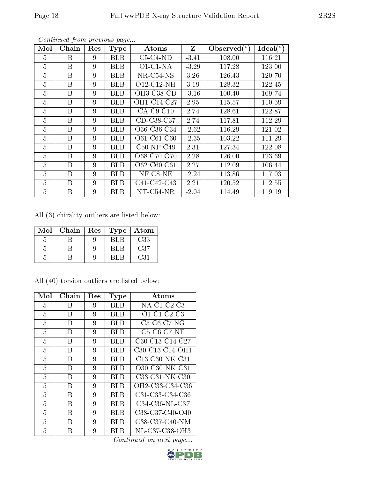| Mol            | Chain | Res | <b>Type</b> | Atoms        | Z       | Observed $(°)$ | Ideal $(^\circ)$ |
|----------------|-------|-----|-------------|--------------|---------|----------------|------------------|
| 5              | Β     | 9   | <b>BLB</b>  | $C5-C4-ND$   | $-3.41$ | 108.00         | 116.21           |
| $\overline{5}$ | B     | 9   | <b>BLB</b>  | $O1-C1-NA$   | $-3.29$ | 117.28         | 123.00           |
| $\overline{5}$ | B     | 9   | <b>BLB</b>  | NR-C54-NS    | 3.26    | 126.43         | 120.70           |
| $\overline{5}$ | B     | 9   | <b>BLB</b>  | O12-C12-NH   | 3.19    | 128.32         | 122.45           |
| $\overline{5}$ | B     | 9   | <b>BLB</b>  | OH3-C38-CD   | $-3.16$ | 100.40         | 109.74           |
| $\overline{5}$ | B     | 9   | <b>BLB</b>  | OH1-C14-C27  | 2.95    | 115.57         | 110.59           |
| $\overline{5}$ | Β     | 9   | BLB         | $CA$ -C9-C10 | 2.74    | 128.61         | 122.87           |
| $\overline{5}$ | B     | 9   | <b>BLB</b>  | CD-C38-C37   | 2.74    | 117.81         | 112.29           |
| 5              | B     | 9   | <b>BLB</b>  | O36-C36-C34  | $-2.62$ | 116.29         | 121.02           |
| $\overline{5}$ | B     | 9   | <b>BLB</b>  | O61-C61-C60  | $-2.35$ | 103.22         | 111.29           |
| $\overline{5}$ | B     | 9   | BLB         | $C50-NP-C49$ | 2.31    | 127.34         | 122.08           |
| $\overline{5}$ | B     | 9   | BLB         | O68-C70-O70  | 2.28    | 126.00         | 123.69           |
| $\overline{5}$ | B     | 9   | BLB         | O62-C60-C61  | 2.27    | 112.09         | 106.44           |
| $\overline{5}$ | B     | 9   | <b>BLB</b>  | $NF-CS-NE$   | $-2.24$ | 113.86         | 117.03           |
| $\overline{5}$ | B     | 9   | <b>BLB</b>  | C41-C42-C43  | 2.21    | 120.52         | 112.55           |
| $\overline{5}$ | B     | 9   | BLB         | $NT-C54-NR$  | $-2.04$ | 114.49         | 119.19           |

Continued from previous page...

All (3) chirality outliers are listed below:

| Mol | Chain | Res | Type | Atom |
|-----|-------|-----|------|------|
|     |       |     | BLB  | C33  |
|     |       |     | RL R | C37  |
|     |       |     | RL E | C31  |

All (40) torsion outliers are listed below:

| Mol | Chain | Res | <b>Type</b> | Atoms                                                              |
|-----|-------|-----|-------------|--------------------------------------------------------------------|
| 5   | В     | 9   | BLB         | $NA$ -C1-C2-C3                                                     |
| 5   | В     | 9   | BLB         | O1-C1-C2-C3                                                        |
| 5   | В     | 9   | BLB         | $C5-C6-C7-NG$                                                      |
| 5   | В     | 9   | BLB         | $C5-C6-C7-NE$                                                      |
| 5   | В     | 9   | BLB         | $C30-C13-C14-C27$                                                  |
| 5   | B     | 9   | BL B        | C30-C13-C14-OH1                                                    |
| 5   | В     | 9   | BLB         | C13-C30-NK-C31                                                     |
| 5   | B     | 9   | BLB         | O30-C30-NK-C31                                                     |
| 5   | В     | 9   | <b>BLB</b>  | C33-C31-NK-C30                                                     |
| 5   | В     | 9   | BLB         | OH2-C33-C34-C36                                                    |
| 5   | В     | 9   | BLB         | C31-C33-C34-C36                                                    |
| 5   | В     | 9   | BLB         | C34-C36-NL-C37                                                     |
| 5   | В     | 9   | BLB         | C <sub>38</sub> -C <sub>37</sub> -C <sub>40</sub> -O <sub>40</sub> |
| 5   | В     | 9   | BLB         | $C38-C37-C40-NM$                                                   |
| 5   | В     | 9   | BL B        | NL-C37-C38-OH3                                                     |

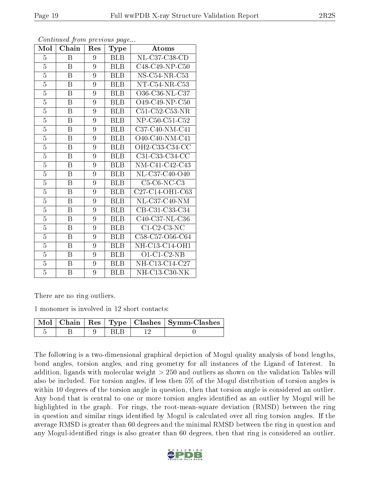| Mol            | Chain            | Res | Type       | Atoms             |
|----------------|------------------|-----|------------|-------------------|
| $\overline{5}$ | B                | 9   | <b>BLB</b> | NL-C37-C38-CD     |
| $\overline{5}$ | B                | 9   | <b>BLB</b> | C48-C49-NP-C50    |
| $\overline{5}$ | B                | 9   | <b>BLB</b> | $NS-C54-NR-C53$   |
| $\overline{5}$ | B                | 9   | <b>BLB</b> | $NT-C54-NR-C53$   |
| $\overline{5}$ | B                | 9   | <b>BLB</b> | O36-C36-NL-C37    |
| $\overline{5}$ | B                | 9   | <b>BLB</b> | O49-C49-NP-C50    |
| $\overline{5}$ | B                | 9   | <b>BLB</b> | C51-C52-C53-NR    |
| $\overline{5}$ | B                | 9   | <b>BLB</b> | NP-C50-C51-C52    |
| 5              | B                | 9   | <b>BLB</b> | $C37-C40-NM-C41$  |
| $\overline{5}$ | B                | 9   | <b>BLB</b> | $O40$ -C40-NM-C41 |
| $\overline{5}$ | B                | 9   | <b>BLB</b> | OH2-C33-C34-CC    |
| $\overline{5}$ | B                | 9   | <b>BLB</b> | C31-C33-C34-CC    |
| $\overline{5}$ | $\boldsymbol{B}$ | 9   | <b>BLB</b> | NM-C41-C42-C43    |
| $\overline{5}$ | B                | 9   | <b>BLB</b> | NL-C37-C40-O40    |
| $\overline{5}$ | B                | 9   | <b>BLB</b> | $C5-C6-NC-C3$     |
| $\overline{5}$ | $\boldsymbol{B}$ | 9   | <b>BLB</b> | C27-C14-OH1-C63   |
| $\overline{5}$ | $\boldsymbol{B}$ | 9   | <b>BLB</b> | $NL-C37-C40-NM$   |
| $\overline{5}$ | B                | 9   | <b>BLB</b> | CB-C31-C33-C34    |
| $\overline{5}$ | B                | 9   | <b>BLB</b> | C40-C37-NL-C36    |
| $\overline{5}$ | B                | 9   | <b>BLB</b> | $C1$ -C2-C3-NC    |
| $\overline{5}$ | $\boldsymbol{B}$ | 9   | <b>BLB</b> | C58-C57-O56-C64   |
| $\overline{5}$ | B                | 9   | <b>BLB</b> | NH-C13-C14-OH1    |
| $\overline{5}$ | $\overline{B}$   | 9   | <b>BLB</b> | $O1$ -C1-C2-NB    |
| $\overline{5}$ | Β                | 9   | <b>BLB</b> | NH-C13-C14-C27    |
| 5              | B                | 9   | <b>BLB</b> | $NH-C13-C30-NK$   |

Continued from previous page...

There are no ring outliers.

1 monomer is involved in 12 short contacts:

|  |  | Mol   Chain   Res   Type   Clashes   Symm-Clashes |
|--|--|---------------------------------------------------|
|  |  |                                                   |

The following is a two-dimensional graphical depiction of Mogul quality analysis of bond lengths, bond angles, torsion angles, and ring geometry for all instances of the Ligand of Interest. In addition, ligands with molecular weight > 250 and outliers as shown on the validation Tables will also be included. For torsion angles, if less then 5% of the Mogul distribution of torsion angles is within 10 degrees of the torsion angle in question, then that torsion angle is considered an outlier. Any bond that is central to one or more torsion angles identified as an outlier by Mogul will be highlighted in the graph. For rings, the root-mean-square deviation (RMSD) between the ring in question and similar rings identified by Mogul is calculated over all ring torsion angles. If the average RMSD is greater than 60 degrees and the minimal RMSD between the ring in question and any Mogul-identified rings is also greater than 60 degrees, then that ring is considered an outlier.

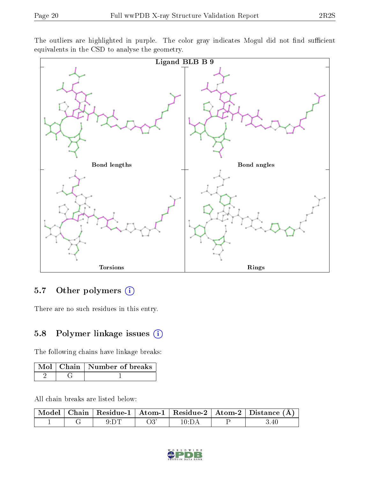The outliers are highlighted in purple. The color gray indicates Mogul did not find sufficient equivalents in the CSD to analyse the geometry.



### 5.7 [O](https://www.wwpdb.org/validation/2017/XrayValidationReportHelp#nonstandard_residues_and_ligands)ther polymers (i)

There are no such residues in this entry.

### 5.8 Polymer linkage issues (i)

The following chains have linkage breaks:

|  | Mol   Chain   Number of breaks |
|--|--------------------------------|
|  |                                |

All chain breaks are listed below:

|  |      |     |                | $\mid$ Model $\mid$ Chain $\mid$ Residue-1 $\mid$ Atom-1 $\mid$ Residue-2 $\mid$ Atom-2 $\mid$ Distance (Å) |
|--|------|-----|----------------|-------------------------------------------------------------------------------------------------------------|
|  | 9:DT | O3' | $10 \cdot D$ A | ; 40                                                                                                        |

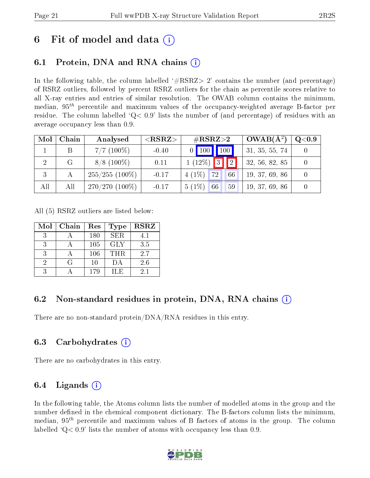### 6 Fit of model and data  $\left( \cdot \right)$

### 6.1 Protein, DNA and RNA chains (i)

In the following table, the column labelled  $#RSRZ> 2'$  contains the number (and percentage) of RSRZ outliers, followed by percent RSRZ outliers for the chain as percentile scores relative to all X-ray entries and entries of similar resolution. The OWAB column contains the minimum, median,  $95<sup>th</sup>$  percentile and maximum values of the occupancy-weighted average B-factor per residue. The column labelled  $Q< 0.9$  lists the number of (and percentage) of residues with an average occupancy less than 0.9.

| Mol            | Chain        | Analysed          | ${ <\hspace{-1.5pt}{\mathrm{RSRZ}} \hspace{-1.5pt}>}$ | $\#\text{RSRZ}{>}2$        | $OWAB(A^2)$    | $\rm Q\textcolor{black}{<}0.9$ |
|----------------|--------------|-------------------|-------------------------------------------------------|----------------------------|----------------|--------------------------------|
|                |              | $7/7$ (100\%)     | $-0.40$                                               | $\boxed{100}$<br>$0$   100 | 31, 35, 55, 74 |                                |
| $\overline{2}$ | $\mathbf{G}$ | $8/8$ (100\%)     | 0.11                                                  | $1(12\%)$<br> 3 <br> 2     | 32, 56, 82, 85 |                                |
| 3              |              | $255/255$ (100\%) | $-0.17$                                               | $4(1\%)$<br>72<br>66       | 19, 37, 69, 86 |                                |
| All            | All          | $270/270(100\%)$  | $-0.17$                                               | $5(1\%)$<br>66<br>59       | 19, 37, 69, 86 |                                |

All (5) RSRZ outliers are listed below:

| Mol | Chain            | Res | Type       | <b>RSRZ</b> |
|-----|------------------|-----|------------|-------------|
|     |                  | 180 | <b>SER</b> | 4.1         |
| 3   |                  | 105 | <b>GLY</b> | 3.5         |
| 3   |                  | 106 | <b>THR</b> | 2.7         |
| 9   | $\mathfrak{c}$ : | 10  | ÐА         | 2.6         |
| २   |                  | 179 | H.E        | 2.1         |

### 6.2 Non-standard residues in protein, DNA, RNA chains  $(i)$

There are no non-standard protein/DNA/RNA residues in this entry.

#### 6.3 Carbohydrates (i)

There are no carbohydrates in this entry.

#### 6.4 Ligands  $(i)$

In the following table, the Atoms column lists the number of modelled atoms in the group and the number defined in the chemical component dictionary. The B-factors column lists the minimum, median,  $95<sup>th</sup>$  percentile and maximum values of B factors of atoms in the group. The column labelled  $Q< 0.9$  lists the number of atoms with occupancy less than 0.9.